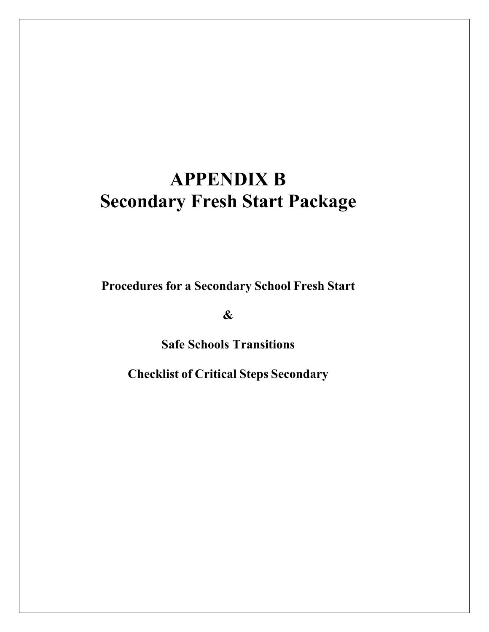## **Secondary Fresh Start Package APPENDIX B**

 **Procedures for a Secondary School Fresh Start** 

**&** 

**Safe Schools Transitions** 

 **Checklist of Critical Steps Secondary**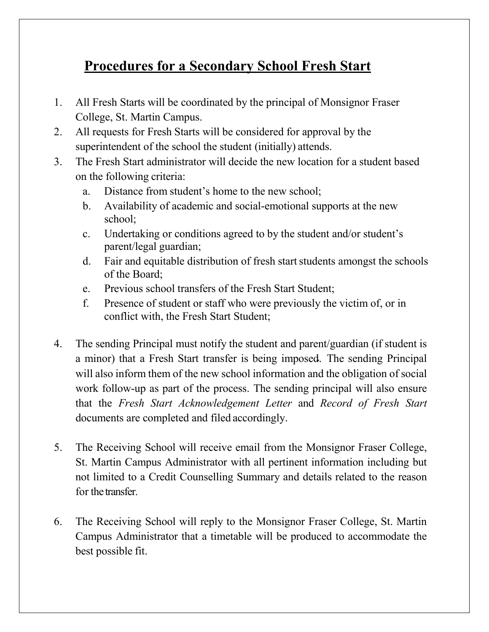## **Procedures for a Secondary School Fresh Start**

- 1. All Fresh Starts will be coordinated by the principal of Monsignor Fraser College, St. Martin Campus.
- 2. All requests for Fresh Starts will be considered for approval by the superintendent of the school the student (initially) attends.
- 3. The Fresh Start administrator will decide the new location for a student based on the following criteria:
	- a. Distance from student's home to the new school;
	- b. Availability of academic and social-emotional supports at the new school;
	- c. Undertaking or conditions agreed to by the student and/or student's parent/legal guardian;
	- d. Fair and equitable distribution of fresh start students amongst the schools of the Board;
	- e. Previous school transfers of the Fresh Start Student;
	- f. Presence of student or staff who were previously the victim of, or in conflict with, the Fresh Start Student;
- 4. The sending Principal must notify the student and parent/guardian (if student is a minor) that a Fresh Start transfer is being imposed. The sending Principal will also inform them of the new school information and the obligation of social work follow-up as part of the process. The sending principal will also ensure that the *Fresh Start Acknowledgement Letter* and *Record of Fresh Start*  documents are completed and filed accordingly.
- 5. The Receiving School will receive email from the Monsignor Fraser College, St. Martin Campus Administrator with all pertinent information including but not limited to a Credit Counselling Summary and details related to the reason for the transfer.
- 6. The Receiving School will reply to the Monsignor Fraser College, St. Martin Campus Administrator that a timetable will be produced to accommodate the best possible fit.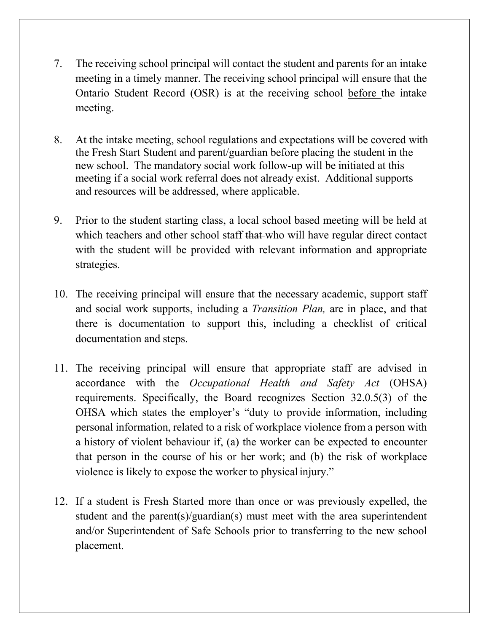- 7. The receiving school principal will contact the student and parents for an intake meeting in a timely manner. The receiving school principal will ensure that the Ontario Student Record (OSR) is at the receiving school before the intake meeting.
- 8. At the intake meeting, school regulations and expectations will be covered with the Fresh Start Student and parent/guardian before placing the student in the new school. The mandatory social work follow-up will be initiated at this meeting if a social work referral does not already exist. Additional supports and resources will be addressed, where applicable.
- 9. Prior to the student starting class, a local school based meeting will be held at which teachers and other school staff that who will have regular direct contact with the student will be provided with relevant information and appropriate strategies.
- 10. The receiving principal will ensure that the necessary academic, support staff and social work supports, including a *Transition Plan,* are in place, and that there is documentation to support this, including a checklist of critical documentation and steps.
- 11. The receiving principal will ensure that appropriate staff are advised in accordance with the *Occupational Health and Safety Act* (OHSA) requirements. Specifically, the Board recognizes Section 32.0.5(3) of the OHSA which states the employer's "duty to provide information, including personal information, related to a risk of workplace violence from a person with a history of violent behaviour if, (a) the worker can be expected to encounter that person in the course of his or her work; and (b) the risk of workplace violence is likely to expose the worker to physical injury."
- 12. If a student is Fresh Started more than once or was previously expelled, the student and the parent(s)/guardian(s) must meet with the area superintendent and/or Superintendent of Safe Schools prior to transferring to the new school placement.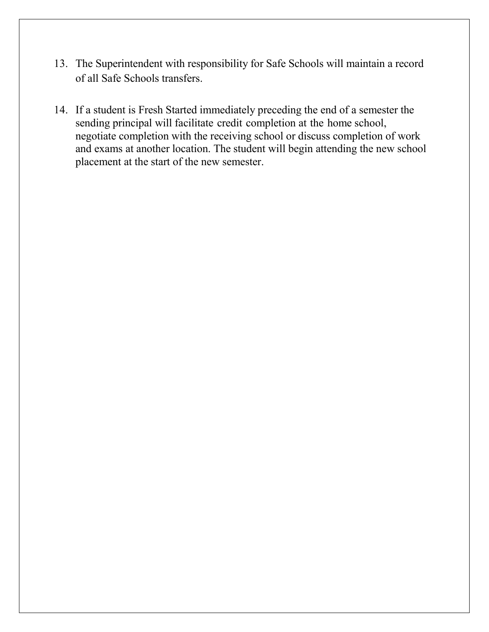- 13. The Superintendent with responsibility for Safe Schools will maintain a record of all Safe Schools transfers.
- 14. If a student is Fresh Started immediately preceding the end of a semester the sending principal will facilitate credit completion at the home school, negotiate completion with the receiving school or discuss completion of work and exams at another location. The student will begin attending the new school placement at the start of the new semester.